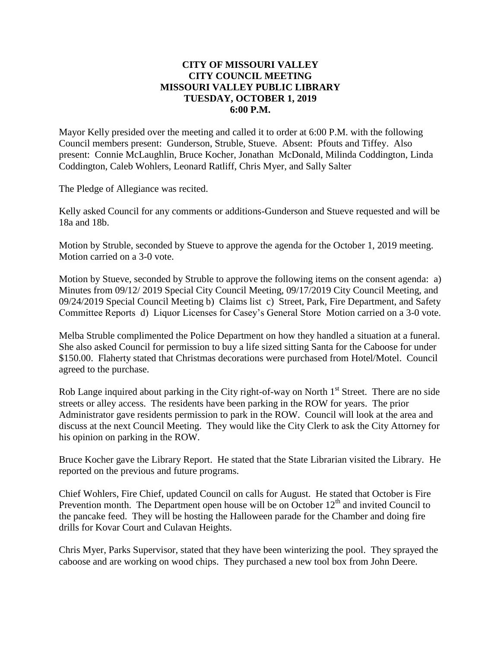## **CITY OF MISSOURI VALLEY CITY COUNCIL MEETING MISSOURI VALLEY PUBLIC LIBRARY TUESDAY, OCTOBER 1, 2019 6:00 P.M.**

Mayor Kelly presided over the meeting and called it to order at 6:00 P.M. with the following Council members present: Gunderson, Struble, Stueve. Absent: Pfouts and Tiffey. Also present: Connie McLaughlin, Bruce Kocher, Jonathan McDonald, Milinda Coddington, Linda Coddington, Caleb Wohlers, Leonard Ratliff, Chris Myer, and Sally Salter

The Pledge of Allegiance was recited.

Kelly asked Council for any comments or additions-Gunderson and Stueve requested and will be 18a and 18b.

Motion by Struble, seconded by Stueve to approve the agenda for the October 1, 2019 meeting. Motion carried on a 3-0 vote.

Motion by Stueve, seconded by Struble to approve the following items on the consent agenda: a) Minutes from 09/12/ 2019 Special City Council Meeting, 09/17/2019 City Council Meeting, and 09/24/2019 Special Council Meeting b) Claims list c) Street, Park, Fire Department, and Safety Committee Reports d) Liquor Licenses for Casey's General Store Motion carried on a 3-0 vote.

Melba Struble complimented the Police Department on how they handled a situation at a funeral. She also asked Council for permission to buy a life sized sitting Santa for the Caboose for under \$150.00. Flaherty stated that Christmas decorations were purchased from Hotel/Motel. Council agreed to the purchase.

Rob Lange inquired about parking in the City right-of-way on North  $1<sup>st</sup>$  Street. There are no side streets or alley access. The residents have been parking in the ROW for years. The prior Administrator gave residents permission to park in the ROW. Council will look at the area and discuss at the next Council Meeting. They would like the City Clerk to ask the City Attorney for his opinion on parking in the ROW.

Bruce Kocher gave the Library Report. He stated that the State Librarian visited the Library. He reported on the previous and future programs.

Chief Wohlers, Fire Chief, updated Council on calls for August. He stated that October is Fire Prevention month. The Department open house will be on October  $12<sup>th</sup>$  and invited Council to the pancake feed. They will be hosting the Halloween parade for the Chamber and doing fire drills for Kovar Court and Culavan Heights.

Chris Myer, Parks Supervisor, stated that they have been winterizing the pool. They sprayed the caboose and are working on wood chips. They purchased a new tool box from John Deere.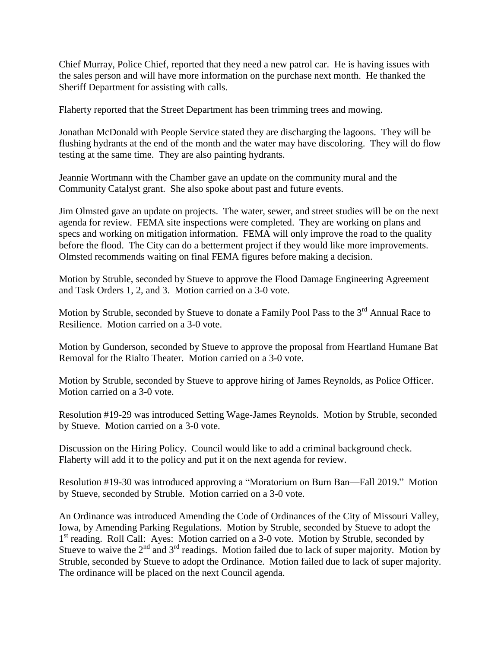Chief Murray, Police Chief, reported that they need a new patrol car. He is having issues with the sales person and will have more information on the purchase next month. He thanked the Sheriff Department for assisting with calls.

Flaherty reported that the Street Department has been trimming trees and mowing.

Jonathan McDonald with People Service stated they are discharging the lagoons. They will be flushing hydrants at the end of the month and the water may have discoloring. They will do flow testing at the same time. They are also painting hydrants.

Jeannie Wortmann with the Chamber gave an update on the community mural and the Community Catalyst grant. She also spoke about past and future events.

Jim Olmsted gave an update on projects. The water, sewer, and street studies will be on the next agenda for review. FEMA site inspections were completed. They are working on plans and specs and working on mitigation information. FEMA will only improve the road to the quality before the flood. The City can do a betterment project if they would like more improvements. Olmsted recommends waiting on final FEMA figures before making a decision.

Motion by Struble, seconded by Stueve to approve the Flood Damage Engineering Agreement and Task Orders 1, 2, and 3. Motion carried on a 3-0 vote.

Motion by Struble, seconded by Stueve to donate a Family Pool Pass to the 3<sup>rd</sup> Annual Race to Resilience. Motion carried on a 3-0 vote.

Motion by Gunderson, seconded by Stueve to approve the proposal from Heartland Humane Bat Removal for the Rialto Theater. Motion carried on a 3-0 vote.

Motion by Struble, seconded by Stueve to approve hiring of James Reynolds, as Police Officer. Motion carried on a 3-0 vote.

Resolution #19-29 was introduced Setting Wage-James Reynolds. Motion by Struble, seconded by Stueve. Motion carried on a 3-0 vote.

Discussion on the Hiring Policy. Council would like to add a criminal background check. Flaherty will add it to the policy and put it on the next agenda for review.

Resolution #19-30 was introduced approving a "Moratorium on Burn Ban—Fall 2019." Motion by Stueve, seconded by Struble. Motion carried on a 3-0 vote.

An Ordinance was introduced Amending the Code of Ordinances of the City of Missouri Valley, Iowa, by Amending Parking Regulations. Motion by Struble, seconded by Stueve to adopt the 1<sup>st</sup> reading. Roll Call: Ayes: Motion carried on a 3-0 vote. Motion by Struble, seconded by Stueve to waive the  $2<sup>nd</sup>$  and  $3<sup>rd</sup>$  readings. Motion failed due to lack of super majority. Motion by Struble, seconded by Stueve to adopt the Ordinance. Motion failed due to lack of super majority. The ordinance will be placed on the next Council agenda.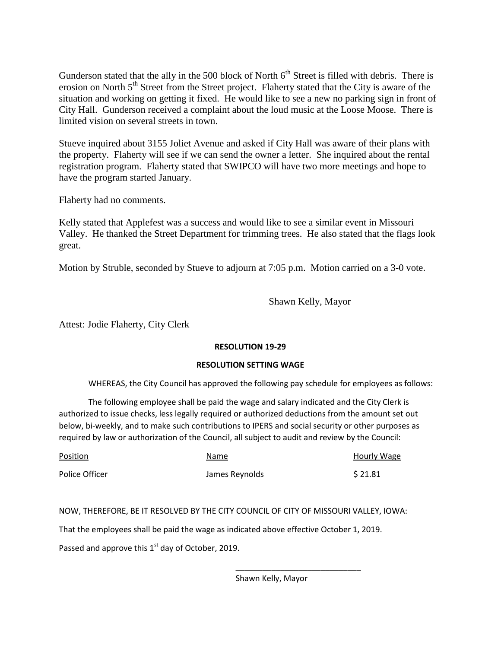Gunderson stated that the ally in the 500 block of North  $6<sup>th</sup>$  Street is filled with debris. There is erosion on North 5<sup>th</sup> Street from the Street project. Flaherty stated that the City is aware of the situation and working on getting it fixed. He would like to see a new no parking sign in front of City Hall. Gunderson received a complaint about the loud music at the Loose Moose. There is limited vision on several streets in town.

Stueve inquired about 3155 Joliet Avenue and asked if City Hall was aware of their plans with the property. Flaherty will see if we can send the owner a letter. She inquired about the rental registration program. Flaherty stated that SWIPCO will have two more meetings and hope to have the program started January.

Flaherty had no comments.

Kelly stated that Applefest was a success and would like to see a similar event in Missouri Valley. He thanked the Street Department for trimming trees. He also stated that the flags look great.

Motion by Struble, seconded by Stueve to adjourn at 7:05 p.m. Motion carried on a 3-0 vote.

Shawn Kelly, Mayor

Attest: Jodie Flaherty, City Clerk

### **RESOLUTION 19-29**

### **RESOLUTION SETTING WAGE**

WHEREAS, the City Council has approved the following pay schedule for employees as follows:

The following employee shall be paid the wage and salary indicated and the City Clerk is authorized to issue checks, less legally required or authorized deductions from the amount set out below, bi-weekly, and to make such contributions to IPERS and social security or other purposes as required by law or authorization of the Council, all subject to audit and review by the Council:

| Position       | Name           | Hourly Wage |
|----------------|----------------|-------------|
| Police Officer | James Reynolds | \$21.81     |

### NOW, THEREFORE, BE IT RESOLVED BY THE CITY COUNCIL OF CITY OF MISSOURI VALLEY, IOWA:

That the employees shall be paid the wage as indicated above effective October 1, 2019.

Passed and approve this  $1<sup>st</sup>$  day of October, 2019.

Shawn Kelly, Mayor

\_\_\_\_\_\_\_\_\_\_\_\_\_\_\_\_\_\_\_\_\_\_\_\_\_\_\_\_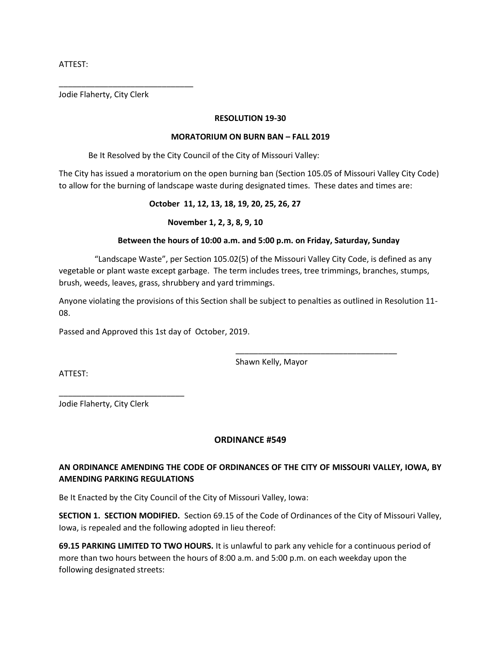ATTEST:

Jodie Flaherty, City Clerk

\_\_\_\_\_\_\_\_\_\_\_\_\_\_\_\_\_\_\_\_\_\_\_\_\_\_\_\_\_\_

#### **RESOLUTION 19-30**

#### **MORATORIUM ON BURN BAN – FALL 2019**

Be It Resolved by the City Council of the City of Missouri Valley:

The City has issued a moratorium on the open burning ban (Section 105.05 of Missouri Valley City Code) to allow for the burning of landscape waste during designated times. These dates and times are:

### **October 11, 12, 13, 18, 19, 20, 25, 26, 27**

### **November 1, 2, 3, 8, 9, 10**

### **Between the hours of 10:00 a.m. and 5:00 p.m. on Friday, Saturday, Sunday**

 "Landscape Waste", per Section 105.02(5) of the Missouri Valley City Code, is defined as any vegetable or plant waste except garbage. The term includes trees, tree trimmings, branches, stumps, brush, weeds, leaves, grass, shrubbery and yard trimmings.

Anyone violating the provisions of this Section shall be subject to penalties as outlined in Resolution 11- 08.

Passed and Approved this 1st day of October, 2019.

Shawn Kelly, Mayor

\_\_\_\_\_\_\_\_\_\_\_\_\_\_\_\_\_\_\_\_\_\_\_\_\_\_\_\_\_\_\_\_\_\_\_\_

ATTEST:

Jodie Flaherty, City Clerk

\_\_\_\_\_\_\_\_\_\_\_\_\_\_\_\_\_\_\_\_\_\_\_\_\_\_\_\_

### **ORDINANCE #549**

# **AN ORDINANCE AMENDING THE CODE OF ORDINANCES OF THE CITY OF MISSOURI VALLEY, IOWA, BY AMENDING PARKING REGULATIONS**

Be It Enacted by the City Council of the City of Missouri Valley, Iowa:

**SECTION 1. SECTION MODIFIED.** Section 69.15 of the Code of Ordinances of the City of Missouri Valley, Iowa, is repealed and the following adopted in lieu thereof:

**69.15 PARKING LIMITED TO TWO HOURS.** It is unlawful to park any vehicle for a continuous period of more than two hours between the hours of 8:00 a.m. and 5:00 p.m. on each weekday upon the following designated streets: